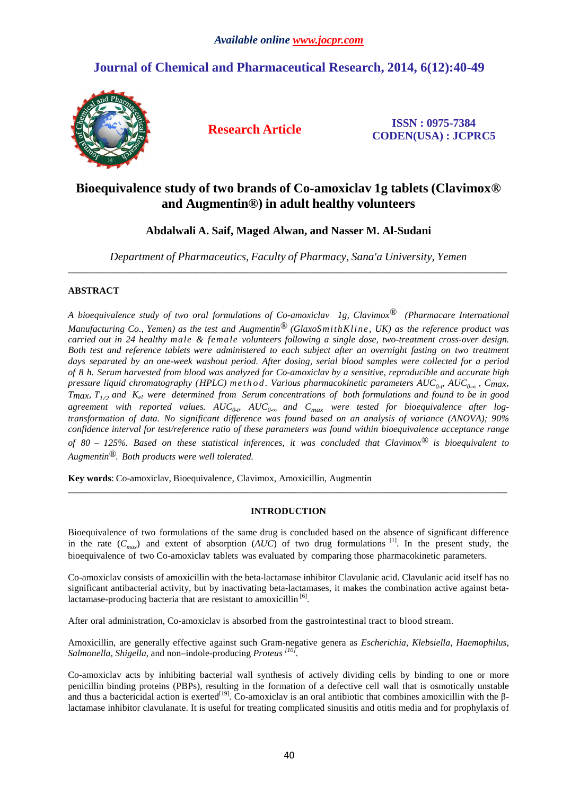# **Journal of Chemical and Pharmaceutical Research, 2014, 6(12):40-49**



**Research Article ISSN : 0975-7384 CODEN(USA) : JCPRC5**

# **Bioequivalence study of two brands of Co-amoxiclav 1g tablets (Clavimox® and Augmentin®) in adult healthy volunteers**

# **Abdalwali A. Saif, Maged Alwan, and Nasser M. Al-Sudani**

*Department of Pharmaceutics, Faculty of Pharmacy, Sana'a University, Yemen* \_\_\_\_\_\_\_\_\_\_\_\_\_\_\_\_\_\_\_\_\_\_\_\_\_\_\_\_\_\_\_\_\_\_\_\_\_\_\_\_\_\_\_\_\_\_\_\_\_\_\_\_\_\_\_\_\_\_\_\_\_\_\_\_\_\_\_\_\_\_\_\_\_\_\_\_\_\_\_\_\_\_\_\_\_\_\_\_\_\_\_\_\_

## **ABSTRACT**

*A bioequivalence study of two oral formulations of Co-amoxiclav 1g, Clavimox® (Pharmacare International Manufacturing Co., Yemen) as the test and Augmentin® (GlaxoSmithKline, UK) as the reference product was carried out in 24 healthy male & female volunteers following a single dose, two-treatment cross-over design. Both test and reference tablets were administered to each subject after an overnight fasting on two treatment days separated by an one-week washout period. After dosing, serial blood samples were collected for a period of 8 h. Serum harvested from blood was analyzed for Co-amoxiclav by a sensitive, reproducible and accurate high pressure liquid chromatography (HPLC) m e t h o d . Various pharmacokinetic parameters AUC0-t, AUC0-<sup>∞</sup> , Cmax, Tmax, T1/2 and Kel were determined from Serum concentrations of both formulations and found to be in good*   $a$ greement with reported values.  $AUC_{0\text{-}p}$   $AUC_{0\text{-}o}$  and  $C_{max}$  were tested for bioequivalence after log*transformation of data. No significant difference was found based on an analysis of variance (ANOVA); 90% confidence interval for test/reference ratio of these parameters was found within bioequivalence acceptance range of 80 – 125%. Based on these statistical inferences, it was concluded that Clavimox® is bioequivalent to Augmentin®. Both products were well tolerated.* 

**Key words**: Co-amoxiclav, Bioequivalence, Clavimox, Amoxicillin, Augmentin

# **INTRODUCTION**

\_\_\_\_\_\_\_\_\_\_\_\_\_\_\_\_\_\_\_\_\_\_\_\_\_\_\_\_\_\_\_\_\_\_\_\_\_\_\_\_\_\_\_\_\_\_\_\_\_\_\_\_\_\_\_\_\_\_\_\_\_\_\_\_\_\_\_\_\_\_\_\_\_\_\_\_\_\_\_\_\_\_\_\_\_\_\_\_\_\_\_\_\_

Bioequivalence of two formulations of the same drug is concluded based on the absence of significant difference in the rate  $(C_{max})$  and extent of absorption  $(AUC)$  of two drug formulations <sup>[1]</sup>. In the present study, the bioequivalence of two Co-amoxiclav tablets was evaluated by comparing those pharmacokinetic parameters.

Co-amoxiclav consists of amoxicillin with the beta-lactamase inhibitor Clavulanic acid. Clavulanic acid itself has no significant antibacterial activity, but by inactivating beta-lactamases, it makes the combination active against betalactamase-producing bacteria that are resistant to amoxicillin  $[6]$ .

After oral administration, Co-amoxiclav is absorbed from the gastrointestinal tract to blood stream.

Amoxicillin, are generally effective against such Gram-negative genera as *Escherichia*, *Klebsiella*, *Haemophilus*, *Salmonella*, *Shigella*, and non–indole-producing *Proteus [10] .* 

Co-amoxiclav acts by inhibiting bacterial wall synthesis of actively dividing cells by binding to one or more penicillin binding proteins (PBPs), resulting in the formation of a defective cell wall that is osmotically unstable and thus a bactericidal action is exerted<sup>[19]</sup>. Co-amoxiclav is an oral antibiotic that combines amoxicillin with the  $\beta$ lactamase inhibitor clavulanate. It is useful for treating complicated sinusitis and otitis media and for prophylaxis of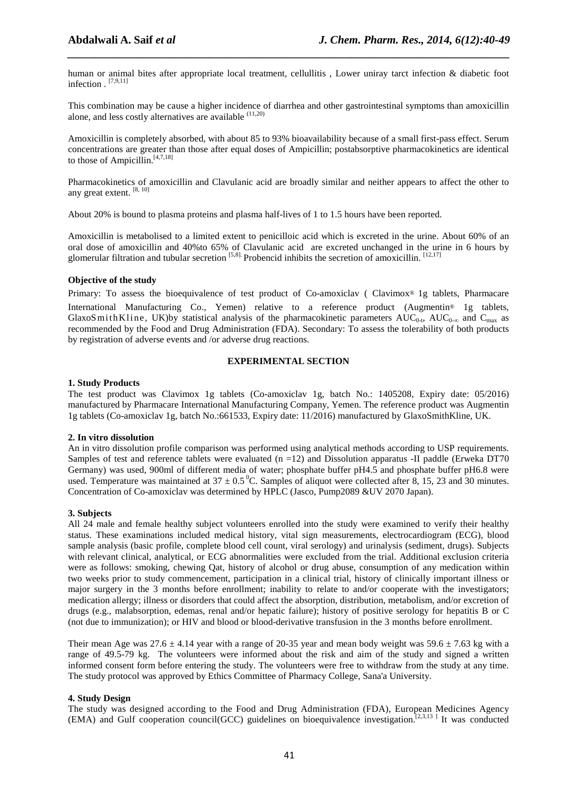human or animal bites after appropriate local treatment, cellullitis, Lower uniray tarct infection & diabetic foot infection . [7,9,11]

*\_\_\_\_\_\_\_\_\_\_\_\_\_\_\_\_\_\_\_\_\_\_\_\_\_\_\_\_\_\_\_\_\_\_\_\_\_\_\_\_\_\_\_\_\_\_\_\_\_\_\_\_\_\_\_\_\_\_\_\_\_\_\_\_\_\_\_\_\_\_\_\_\_\_\_\_\_\_*

This combination may be cause a higher incidence of diarrhea and other gastrointestinal symptoms than amoxicillin alone, and less costly alternatives are available <sup>(11,20)</sup>

Amoxicillin is completely absorbed, with about 85 to 93% bioavailability because of a small first-pass effect. Serum concentrations are greater than those after equal doses of Ampicillin; postabsorptive pharmacokinetics are identical to those of Ampicillin.<sup>[4,7,18]</sup>

Pharmacokinetics of amoxicillin and Clavulanic acid are broadly similar and neither appears to affect the other to any great extent. [8, 10]

About 20% is bound to plasma proteins and plasma half-lives of 1 to 1.5 hours have been reported.

Amoxicillin is metabolised to a limited extent to penicilloic acid which is excreted in the urine. About 60% of an oral dose of amoxicillin and 40%to 65% of Clavulanic acid are excreted unchanged in the urine in 6 hours by glomerular filtration and tubular secretion  $[5,8]$ . Probencid inhibits the secretion of amoxicillin.  $[12,17]$ 

#### **Objective of the study**

Primary: To assess the bioequivalence of test product of Co-amoxiclav ( Clavimox® 1g tablets, Pharmacare International Manufacturing Co., Yemen) relative to a reference product (Augmentin® 1g tablets, GlaxoSmithKline, UK)by statistical analysis of the pharmacokinetic parameters  $AUC_{0-t}$ ,  $AUC_{0-\infty}$  and  $C_{\max}$  as recommended by the Food and Drug Administration (FDA). Secondary: To assess the tolerability of both products by registration of adverse events and /or adverse drug reactions.

#### **EXPERIMENTAL SECTION**

#### **1. Study Products**

The test product was Clavimox 1g tablets (Co-amoxiclav 1g, batch No.: 1405208, Expiry date: 05/2016) manufactured by Pharmacare International Manufacturing Company, Yemen. The reference product was Augmentin 1g tablets (Co-amoxiclav 1g, batch No.:661533, Expiry date: 11/2016) manufactured by GlaxoSmithKline, UK.

#### **2. In vitro dissolution**

An in vitro dissolution profile comparison was performed using analytical methods according to USP requirements. Samples of test and reference tablets were evaluated  $(n = 12)$  and Dissolution apparatus -II paddle (Erweka DT70) Germany) was used, 900ml of different media of water; phosphate buffer pH4.5 and phosphate buffer pH6.8 were used. Temperature was maintained at  $37 \pm 0.5^{\circ}$ C. Samples of aliquot were collected after 8, 15, 23 and 30 minutes. Concentration of Co-amoxiclav was determined by HPLC (Jasco, Pump2089 &UV 2070 Japan).

#### **3. Subjects**

All 24 male and female healthy subject volunteers enrolled into the study were examined to verify their healthy status. These examinations included medical history, vital sign measurements, electrocardiogram (ECG), blood sample analysis (basic profile, complete blood cell count, viral serology) and urinalysis (sediment, drugs). Subjects with relevant clinical, analytical, or ECG abnormalities were excluded from the trial. Additional exclusion criteria were as follows: smoking, chewing Qat, history of alcohol or drug abuse, consumption of any medication within two weeks prior to study commencement, participation in a clinical trial, history of clinically important illness or major surgery in the 3 months before enrollment; inability to relate to and/or cooperate with the investigators; medication allergy; illness or disorders that could affect the absorption, distribution, metabolism, and/or excretion of drugs (e.g., malabsorption, edemas, renal and/or hepatic failure); history of positive serology for hepatitis B or C (not due to immunization); or HIV and blood or blood-derivative transfusion in the 3 months before enrollment.

Their mean Age was  $27.6 \pm 4.14$  year with a range of 20-35 year and mean body weight was  $59.6 \pm 7.63$  kg with a range of 49.5-79 kg. The volunteers were informed about the risk and aim of the study and signed a written informed consent form before entering the study. The volunteers were free to withdraw from the study at any time. The study protocol was approved by Ethics Committee of Pharmacy College, Sana'a University.

#### **4. Study Design**

The study was designed according to the Food and Drug Administration (FDA), European Medicines Agency (EMA) and Gulf cooperation council(GCC) guidelines on bioequivalence investigation.[2,3,13 ] It was conducted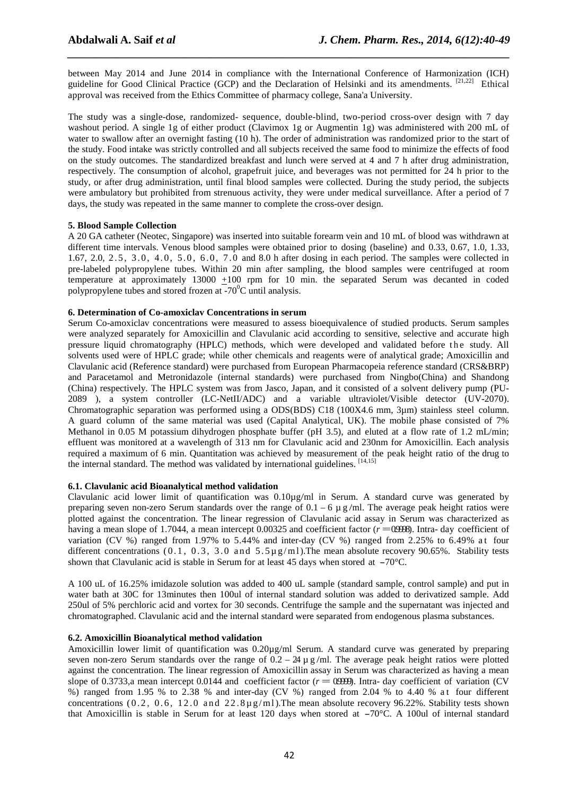between May 2014 and June 2014 in compliance with the International Conference of Harmonization (ICH) guideline for Good Clinical Practice (GCP) and the Declaration of Helsinki and its amendments. [21,22] Ethical approval was received from the Ethics Committee of pharmacy college, Sana'a University.

*\_\_\_\_\_\_\_\_\_\_\_\_\_\_\_\_\_\_\_\_\_\_\_\_\_\_\_\_\_\_\_\_\_\_\_\_\_\_\_\_\_\_\_\_\_\_\_\_\_\_\_\_\_\_\_\_\_\_\_\_\_\_\_\_\_\_\_\_\_\_\_\_\_\_\_\_\_\_*

The study was a single-dose, randomized- sequence, double-blind, two-period cross-over design with 7 day washout period. A single 1g of either product (Clavimox 1g or Augmentin 1g) was administered with 200 mL of water to swallow after an overnight fasting (10 h). The order of administration was randomized prior to the start of the study. Food intake was strictly controlled and all subjects received the same food to minimize the effects of food on the study outcomes. The standardized breakfast and lunch were served at 4 and 7 h after drug administration, respectively. The consumption of alcohol, grapefruit juice, and beverages was not permitted for 24 h prior to the study, or after drug administration, until final blood samples were collected. During the study period, the subjects were ambulatory but prohibited from strenuous activity, they were under medical surveillance. After a period of 7 days, the study was repeated in the same manner to complete the cross-over design.

#### **5. Blood Sample Collection**

A 20 GA catheter (Neotec, Singapore) was inserted into suitable forearm vein and 10 mL of blood was withdrawn at different time intervals. Venous blood samples were obtained prior to dosing (baseline) and 0.33, 0.67, 1.0, 1.33, 1.67, 2.0, 2.5, 3.0, 4.0, 5.0, 6.0, 7.0 and 8.0 h after dosing in each period. The samples were collected in pre-labeled polypropylene tubes. Within 20 min after sampling, the blood samples were centrifuged at room temperature at approximately 13000 +100 rpm for 10 min. the separated Serum was decanted in coded polypropylene tubes and stored frozen at  $-70^{\circ}$ C until analysis.

#### **6. Determination of Co-amoxiclav Concentrations in serum**

Serum Co-amoxiclav concentrations were measured to assess bioequivalence of studied products. Serum samples were analyzed separately for Amoxicillin and Clavulanic acid according to sensitive, selective and accurate high pressure liquid chromatography (HPLC) methods, which were developed and validated before the study. All solvents used were of HPLC grade; while other chemicals and reagents were of analytical grade; Amoxicillin and Clavulanic acid (Reference standard) were purchased from European Pharmacopeia reference standard (CRS&BRP) and Paracetamol and Metronidazole (internal standards) were purchased from Ningbo(China) and Shandong (China) respectively. The HPLC system was from Jasco, Japan, and it consisted of a solvent delivery pump (PU-2089 ), a system controller (LC-NetII/ADC) and a variable ultraviolet/Visible detector (UV-2070). Chromatographic separation was performed using a ODS(BDS) C18 (100X4.6 mm, 3µm) stainless steel column. A guard column of the same material was used (Capital Analytical, UK). The mobile phase consisted of 7% Methanol in 0.05 M potassium dihydrogen phosphate buffer (pH 3.5), and eluted at a flow rate of 1.2 mL/min; effluent was monitored at a wavelength of 313 nm for Clavulanic acid and 230nm for Amoxicillin. Each analysis required a maximum of 6 min. Quantitation was achieved by measurement of the peak height ratio of the drug to the internal standard. The method was validated by international guidelines. [14,15]

#### **6.1. Clavulanic acid Bioanalytical method validation**

Clavulanic acid lower limit of quantification was 0.10µg/ml in Serum. A standard curve was generated by preparing seven non-zero Serum standards over the range of  $0.1 - 6 \mu$  g/ml. The average peak height ratios were plotted against the concentration. The linear regression of Clavulanic acid assay in Serum was characterized as having a mean slope of 1.7044, a mean intercept  $0.00325$  and coefficient factor ( $r = 0.0998$ ). Intra-day coefficient of variation (CV %) ranged from 1.97% to 5.44% and inter-day (CV %) ranged from 2.25% to 6.49% at four different concentrations (0.1, 0.3, 3.0 and 5.5 $\mu$  g/ml). The mean absolute recovery 90.65%. Stability tests shown that Clavulanic acid is stable in Serum for at least 45 days when stored at  $-70^{\circ}$ C.

A 100 uL of 16.25% imidazole solution was added to 400 uL sample (standard sample, control sample) and put in water bath at 30C for 13minutes then 100ul of internal standard solution was added to derivatized sample. Add 250ul of 5% perchloric acid and vortex for 30 seconds. Centrifuge the sample and the supernatant was injected and chromatographed. Clavulanic acid and the internal standard were separated from endogenous plasma substances.

#### **6.2. Amoxicillin Bioanalytical method validation**

Amoxicillin lower limit of quantification was 0.20µg/ml Serum. A standard curve was generated by preparing seven non-zero Serum standards over the range of  $0.2 - 24$  u g/ml. The average peak height ratios were plotted against the concentration. The linear regression of Amoxicillin assay in Serum was characterized as having a mean slope of 0.3733,a mean intercept 0.0144 and coefficient factor  $(r = 0.999)$ . Intra-day coefficient of variation (CV) %) ranged from 1.95 % to 2.38 % and inter-day (CV %) ranged from 2.04 % to 4.40 % a t four different concentrations (0.2, 0.6, 12.0 and  $22.8 \mu g/ml$ ). The mean absolute recovery 96.22%. Stability tests shown that Amoxicillin is stable in Serum for at least 120 days when stored at  $-70^{\circ}$ C. A 100ul of internal standard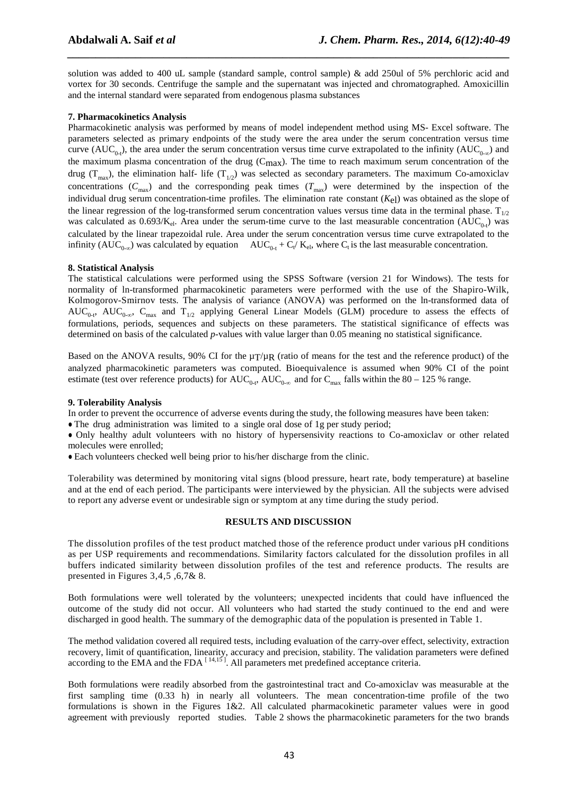solution was added to 400 uL sample (standard sample, control sample) & add 250ul of 5% perchloric acid and vortex for 30 seconds. Centrifuge the sample and the supernatant was injected and chromatographed. Amoxicillin and the internal standard were separated from endogenous plasma substances

*\_\_\_\_\_\_\_\_\_\_\_\_\_\_\_\_\_\_\_\_\_\_\_\_\_\_\_\_\_\_\_\_\_\_\_\_\_\_\_\_\_\_\_\_\_\_\_\_\_\_\_\_\_\_\_\_\_\_\_\_\_\_\_\_\_\_\_\_\_\_\_\_\_\_\_\_\_\_*

### **7. Pharmacokinetics Analysis**

Pharmacokinetic analysis was performed by means of model independent method using MS- Excel software. The parameters selected as primary endpoints of the study were the area under the serum concentration versus time curve ( $AUC_{0-t}$ ), the area under the serum concentration versus time curve extrapolated to the infinity ( $AUC_{0-x}$ ) and the maximum plasma concentration of the drug  $(C_{max})$ . The time to reach maximum serum concentration of the drug  $(T_{max})$ , the elimination half- life  $(T_{1/2})$  was selected as secondary parameters. The maximum Co-amoxiclav concentrations  $(C_{\text{max}})$  and the corresponding peak times  $(T_{\text{max}})$  were determined by the inspection of the individual drug serum concentration-time profiles. The elimination rate constant (*K*<sub>el</sub>) was obtained as the slope of the linear regression of the log-transformed serum concentration values versus time data in the terminal phase.  $T_{1/2}$ was calculated as  $0.693/K_{el}$ . Area under the serum-time curve to the last measurable concentration (AUC<sub>0-t</sub>) was calculated by the linear trapezoidal rule. Area under the serum concentration versus time curve extrapolated to the infinity (AUC<sub>0-∞</sub>) was calculated by equation AUC<sub>0-t</sub> + C<sub>t</sub>/K<sub>el</sub>, where C<sub>t</sub> is the last measurable concentration.

### **8. Statistical Analysis**

The statistical calculations were performed using the SPSS Software (version 21 for Windows). The tests for normality of ln-transformed pharmacokinetic parameters were performed with the use of the Shapiro-Wilk, Kolmogorov-Smirnov tests. The analysis of variance (ANOVA) was performed on the ln-transformed data of  $AUC_{0-t}$ ,  $AUC_{0-\infty}$ ,  $C_{\text{max}}$  and  $T_{1/2}$  applying General Linear Models (GLM) procedure to assess the effects of formulations, periods, sequences and subjects on these parameters. The statistical significance of effects was determined on basis of the calculated *p*-values with value larger than 0.05 meaning no statistical significance.

Based on the ANOVA results, 90% CI for the  $\mu T/\mu R$  (ratio of means for the test and the reference product) of the analyzed pharmacokinetic parameters was computed. Bioequivalence is assumed when 90% CI of the point estimate (test over reference products) for  $AUC_{0-t}$ ,  $AUC_{0-\infty}$  and for  $C_{\text{max}}$  falls within the 80 – 125 % range.

#### **9. Tolerability Analysis**

In order to prevent the occurrence of adverse events during the study, the following measures have been taken:

• The drug administration was limited to a single oral dose of 1g per study period;

● Only healthy adult volunteers with no history of hypersensivity reactions to Co-amoxiclav or other related molecules were enrolled;

● Each volunteers checked well being prior to his/her discharge from the clinic.

Tolerability was determined by monitoring vital signs (blood pressure, heart rate, body temperature) at baseline and at the end of each period. The participants were interviewed by the physician. All the subjects were advised to report any adverse event or undesirable sign or symptom at any time during the study period.

## **RESULTS AND DISCUSSION**

The dissolution profiles of the test product matched those of the reference product under various pH conditions as per USP requirements and recommendations. Similarity factors calculated for the dissolution profiles in all buffers indicated similarity between dissolution profiles of the test and reference products. The results are presented in Figures 3,4,5 ,6,7& 8.

Both formulations were well tolerated by the volunteers; unexpected incidents that could have influenced the outcome of the study did not occur. All volunteers who had started the study continued to the end and were discharged in good health. The summary of the demographic data of the population is presented in Table 1.

The method validation covered all required tests, including evaluation of the carry-over effect, selectivity, extraction recovery, limit of quantification, linearity, accuracy and precision, stability. The validation parameters were defined according to the EMA and the FDA  $^{[14,15]}$ . All parameters met predefined acceptance criteria.

Both formulations were readily absorbed from the gastrointestinal tract and Co-amoxiclav was measurable at the first sampling time (0.33 h) in nearly all volunteers. The mean concentration-time profile of the two formulations is shown in the Figures 1&2. All calculated pharmacokinetic parameter values were in good agreement with previously reported studies. Table 2 shows the pharmacokinetic parameters for the two brands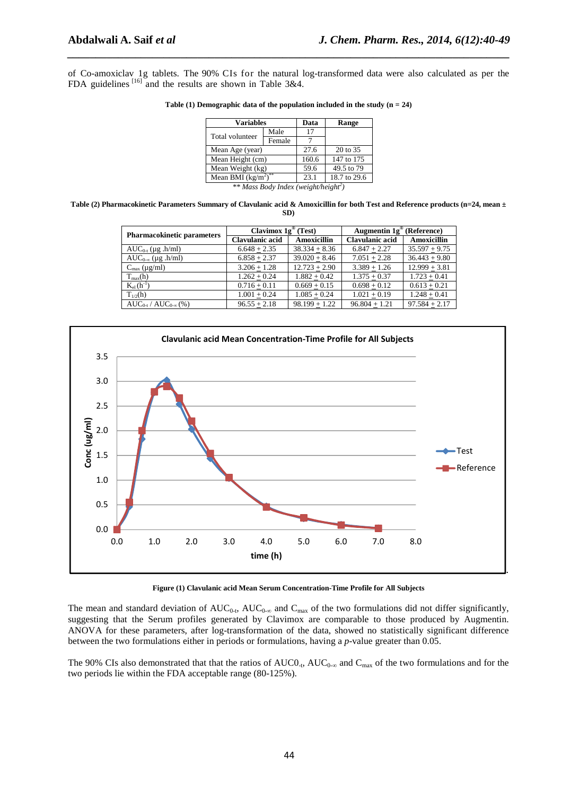of Co-amoxiclav 1g tablets. The 90% CIs for the natural log-transformed data were also calculated as per the FDA guidelines <sup>[16]</sup> and the results are shown in Table 3&4.

*\_\_\_\_\_\_\_\_\_\_\_\_\_\_\_\_\_\_\_\_\_\_\_\_\_\_\_\_\_\_\_\_\_\_\_\_\_\_\_\_\_\_\_\_\_\_\_\_\_\_\_\_\_\_\_\_\_\_\_\_\_\_\_\_\_\_\_\_\_\_\_\_\_\_\_\_\_\_*

| Table (1) Demographic data of the population included in the study $(n = 24)$ |  |  |  |
|-------------------------------------------------------------------------------|--|--|--|
|-------------------------------------------------------------------------------|--|--|--|

| <b>Variables</b>         |        | Data  | Range        |
|--------------------------|--------|-------|--------------|
| Total volunteer          | Male   | 17    |              |
|                          | Female |       |              |
| Mean Age (year)          |        | 27.6  | 20 to 35     |
| Mean Height (cm)         |        | 160.6 | 147 to 175   |
| Mean Weight (kg)         |        | 59.6  | 49.5 to 79   |
| Mean BMI $(kg/m^2)^{**}$ |        | 23.1  | 18.7 to 29.6 |

*\*\* Mass Body Index (weight/height<sup>2</sup> )* 

**Table (2) Pharmacokinetic Parameters Summary of Clavulanic acid & Amoxicillin for both Test and Reference products (n=24, mean ± SD)** 

| <b>Pharmacokinetic parameters</b>  | Clavimox $1g^{\circledR}$ (Test) |                    | Augmentin $1g^{\omega}$ (Reference) |                    |  |
|------------------------------------|----------------------------------|--------------------|-------------------------------------|--------------------|--|
|                                    | <b>Clavulanic acid</b>           | <b>Amoxicillin</b> | Clavulanic acid                     | <b>Amoxicillin</b> |  |
| $AUC_{0-t}$ (µg .h/ml)             | $6.648 + 2.35$                   | $38.334 + 8.36$    | $6.847 + 2.27$                      | $35.597 + 9.75$    |  |
| $AUC_{0-\infty}$ (µg .h/ml)        | $6.858 + 2.37$                   | $39.020 + 8.46$    | $7.051 + 2.28$                      | $36.443 + 9.80$    |  |
| $C_{\text{max}}$ (µg/ml)           | $3.206 + 1.28$                   | $12.723 + 2.90$    | $3.389 + 1.26$                      | $12.999 + 3.81$    |  |
| $T_{max}(h)$                       | $1.262 + 0.24$                   | $1.882 + 0.42$     | $1.375 + 0.37$                      | $1.723 + 0.41$     |  |
| $K_{el}$ $(h^{-1})$                | $0.716 + 0.11$                   | $0.669 + 0.15$     | $0.698 + 0.12$                      | $0.613 + 0.21$     |  |
| $T_{1/2}(h)$                       | $1.001 + 0.24$                   | $1.085 + 0.24$     | $1.021 + 0.19$                      | $1.248 + 0.41$     |  |
| $AUC_{0-t}$ / $AUC_{0-\infty}$ (%) | $96.55 + 2.18$                   | $98.199 + 1.22$    | $96.804 + 1.21$                     | $97.584 + 2.17$    |  |



**Figure (1) Clavulanic acid Mean Serum Concentration-Time Profile for All Subjects** 

The mean and standard deviation of  $AUC_{0-t}$ ,  $AUC_{0-\infty}$  and  $C_{\max}$  of the two formulations did not differ significantly, suggesting that the Serum profiles generated by Clavimox are comparable to those produced by Augmentin. ANOVA for these parameters, after log-transformation of the data, showed no statistically significant difference between the two formulations either in periods or formulations, having a *p*-value greater than 0.05.

The 90% CIs also demonstrated that that the ratios of  $AUC0_{-t}$ ,  $AUC_{0-\infty}$  and  $C_{\max}$  of the two formulations and for the two periods lie within the FDA acceptable range (80-125%).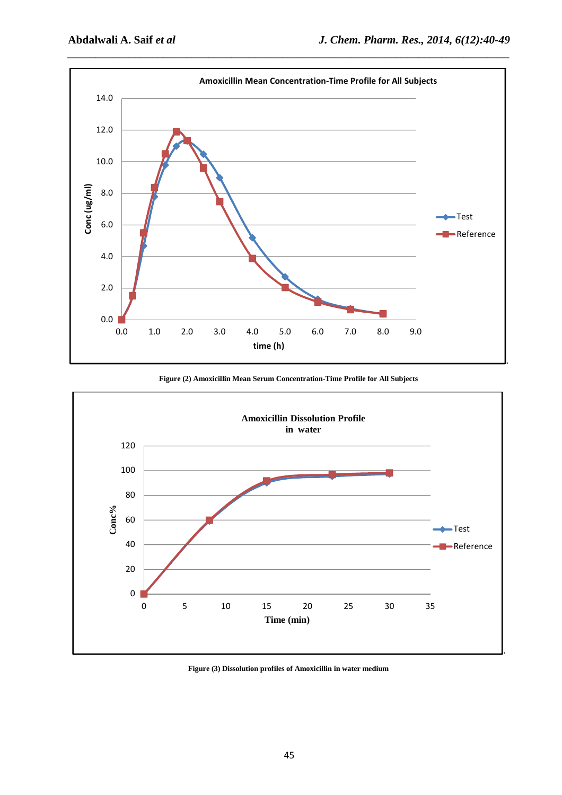

**Figure (2) Amoxicillin Mean Serum Concentration-Time Profile for All Subjects** 



**Figure (3) Dissolution profiles of Amoxicillin in water medium**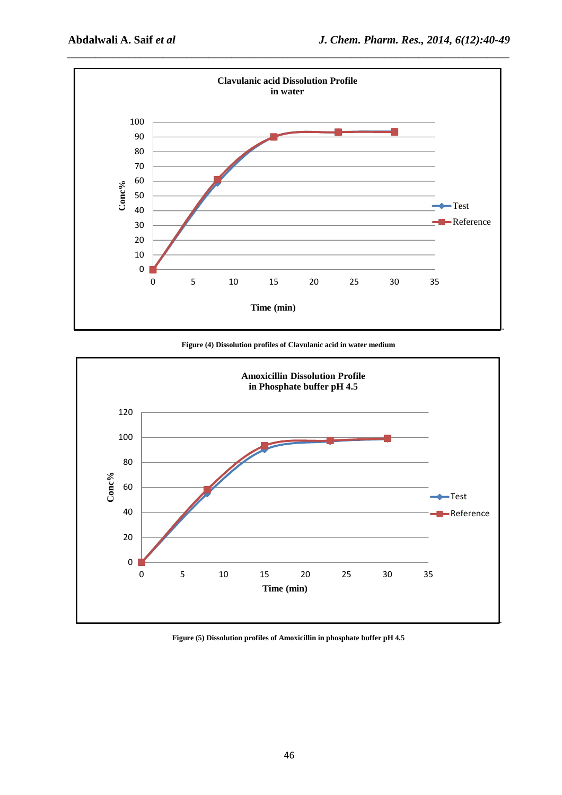

**Figure (4) Dissolution profiles of Clavulanic acid in water medium** 



**Figure (5) Dissolution profiles of Amoxicillin in phosphate buffer pH 4.5**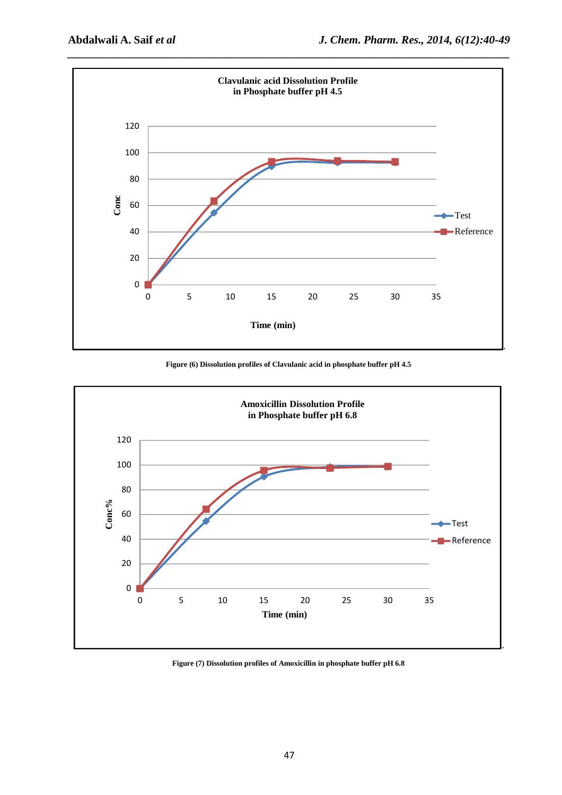

**Figure (6) Dissolution profiles of Clavulanic acid in phosphate buffer pH 4.5** 



**Figure (7) Dissolution profiles of Amoxicillin in phosphate buffer pH 6.8**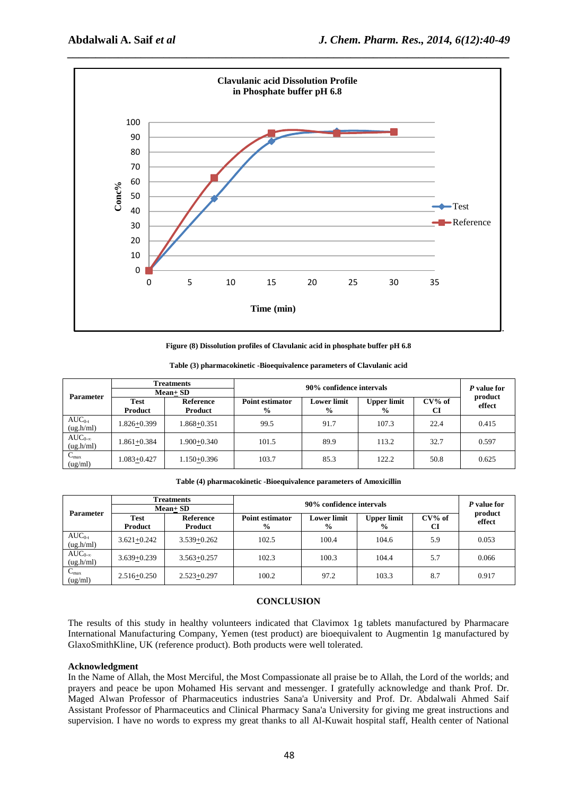

**Figure (8) Dissolution profiles of Clavulanic acid in phosphate buffer pH 6.8** 

|                               | <b>Treatments</b> |                 | 90% confidence intervals |                    |                    |           | P value for       |
|-------------------------------|-------------------|-----------------|--------------------------|--------------------|--------------------|-----------|-------------------|
| <b>Parameter</b>              | $Mean + SD$       |                 |                          |                    |                    |           |                   |
|                               | <b>Test</b>       | Reference       | <b>Point estimator</b>   | <b>Lower limit</b> | <b>Upper limit</b> | $CV\%$ of | product<br>effect |
|                               | Product           | Product         | $\frac{6}{9}$            | $\%$               | $\frac{6}{9}$      | CI        |                   |
| $AUC_{0-t}$<br>(ug.h/ml)      | $1.826 + 0.399$   | 1.868+0.351     | 99.5                     | 91.7               | 107.3              | 22.4      | 0.415             |
| $AUC_{0-\infty}$<br>(ug.h/ml) | $1.861 + 0.384$   | $1.900 + 0.340$ | 101.5                    | 89.9               | 113.2              | 32.7      | 0.597             |
| $C_{\rm max}$<br>(ug/ml)      | $1.083 + 0.427$   | $1.150 + 0.396$ | 103.7                    | 85.3               | 122.2              | 50.8      | 0.625             |

**Table (3) pharmacokinetic -Bioequivalence parameters of Clavulanic acid** 

**Table (4) pharmacokinetic -Bioequivalence parameters of Amoxicillin** 

|                               | <b>Treatments</b>             |                             | 90% confidence intervals                |                                     |                                     |                 | P value for<br>product |
|-------------------------------|-------------------------------|-----------------------------|-----------------------------------------|-------------------------------------|-------------------------------------|-----------------|------------------------|
| <b>Parameter</b>              | $Mean + SD$                   |                             |                                         |                                     |                                     |                 |                        |
|                               | <b>Test</b><br><b>Product</b> | <b>Reference</b><br>Product | <b>Point estimator</b><br>$\frac{9}{6}$ | <b>Lower limit</b><br>$\frac{6}{9}$ | <b>Upper limit</b><br>$\frac{6}{9}$ | $CV\%$ of<br>CI | effect                 |
| $AUC_{0-t}$<br>(ug.h/ml)      | $3.621 + 0.242$               | $3.539 + 0.262$             | 102.5                                   | 100.4                               | 104.6                               | 5.9             | 0.053                  |
| $AUC_{0-\infty}$<br>(ug.h/ml) | $3.639 + 0.239$               | $3.563 + 0.257$             | 102.3                                   | 100.3                               | 104.4                               | 5.7             | 0.066                  |
| $C_{\text{max}}$<br>(ug/ml)   | $2.516 + 0.250$               | $2.523 + 0.297$             | 100.2                                   | 97.2                                | 103.3                               | 8.7             | 0.917                  |

#### **CONCLUSION**

The results of this study in healthy volunteers indicated that Clavimox 1g tablets manufactured by Pharmacare International Manufacturing Company, Yemen (test product) are bioequivalent to Augmentin 1g manufactured by GlaxoSmithKline, UK (reference product). Both products were well tolerated.

#### **Acknowledgment**

In the Name of Allah, the Most Merciful, the Most Compassionate all praise be to Allah, the Lord of the worlds; and prayers and peace be upon Mohamed His servant and messenger. I gratefully acknowledge and thank Prof. Dr. Maged Alwan Professor of Pharmaceutics industries Sana'a University and Prof. Dr. Abdalwali Ahmed Saif Assistant Professor of Pharmaceutics and Clinical Pharmacy Sana'a University for giving me great instructions and supervision. I have no words to express my great thanks to all Al-Kuwait hospital staff, Health center of National